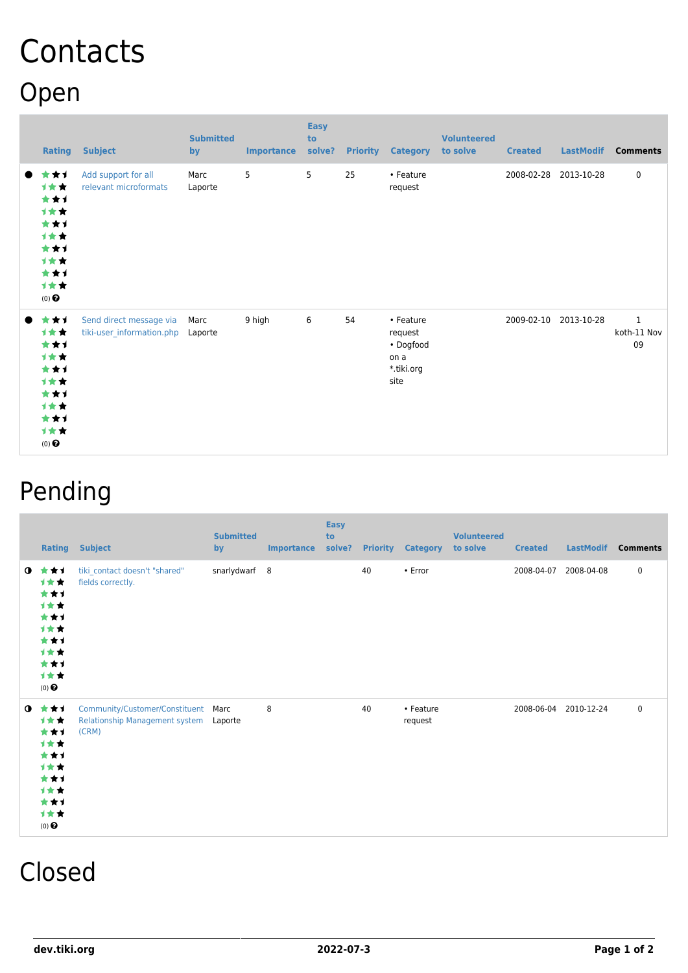## **Contacts** Open

| <b>Rating</b>                                                                                 | <b>Subject</b>                                       | <b>Submitted</b><br>by | <b>Importance</b> | <b>Easy</b><br>to<br>solve? | <b>Priority</b> | <b>Category</b>                                                 | <b>Volunteered</b><br>to solve | <b>Created</b>        | <b>LastModif</b> | <b>Comments</b>        |
|-----------------------------------------------------------------------------------------------|------------------------------------------------------|------------------------|-------------------|-----------------------------|-----------------|-----------------------------------------------------------------|--------------------------------|-----------------------|------------------|------------------------|
| ***<br><b>1**</b><br>***<br>计女女<br>***<br>1★★<br>***<br>计女女<br>***<br>计女女<br>$(0)$ $\bigodot$ | Add support for all<br>relevant microformats         | Marc<br>Laporte        | 5                 | 5                           | 25              | • Feature<br>request                                            |                                | 2008-02-28 2013-10-28 |                  | $\mathbf 0$            |
| ***<br>计女女<br>***<br>计女女<br>***<br>1★★<br>***<br>计女女<br>***<br>计女女<br>$(0)$ $\odot$           | Send direct message via<br>tiki-user_information.php | Marc<br>Laporte        | 9 high            | 6                           | 54              | • Feature<br>request<br>• Dogfood<br>on a<br>*.tiki.org<br>site |                                | 2009-02-10            | 2013-10-28       | 1<br>koth-11 Nov<br>09 |

## Pending

| <b>Rating</b>                                                                                               | <b>Subject</b>                                                            | <b>Submitted</b><br>by | <b>Importance</b> | <b>Easy</b><br>to<br>solve? |    | <b>Priority Category</b> | <b>Volunteered</b><br>to solve | <b>Created</b> | <b>LastModif</b>      | <b>Comments</b> |
|-------------------------------------------------------------------------------------------------------------|---------------------------------------------------------------------------|------------------------|-------------------|-----------------------------|----|--------------------------|--------------------------------|----------------|-----------------------|-----------------|
| $0$ $\star$ $\star$ $\star$<br>计女女<br>***<br>计女女<br>***<br>计女女<br>***<br>计女女<br>***<br>计女女<br>$(0)$ $\odot$ | tiki_contact doesn't "shared"<br>fields correctly.                        | snarlydwarf 8          |                   |                             | 40 | $\cdot$ Error            |                                | 2008-04-07     | 2008-04-08            | $\mathbf 0$     |
| $0$ $\star\star\star$<br>计女女<br>***<br>计女女<br>***<br>计女女<br>***<br>计女女<br>***<br>计女女<br>$(0)$ $\odot$       | Community/Customer/Constituent<br>Relationship Management system<br>(CRM) | Marc<br>Laporte        | 8                 |                             | 40 | • Feature<br>request     |                                |                | 2008-06-04 2010-12-24 | $\mathbf 0$     |

## Closed